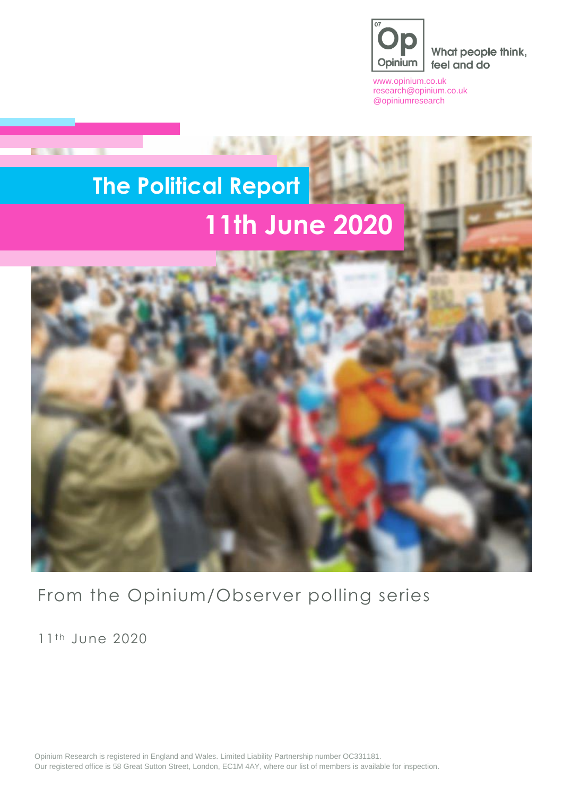

What people think, feel and do

[www.opinium.co.uk](http://www.opinium.co.uk/) [research@opinium.co.uk](mailto:research@opinium.co.uk) @opiniumresearch

# **The Political Report 11th June 2020**



From the Opinium/Observer polling series

11<sup>th</sup> June 2020

**DOM: NO** 

Opinium Research is registered in England and Wales. Limited Liability Partnership number OC331181. Our registered office is 58 Great Sutton Street, London, EC1M 4AY, where our list of members is available for inspection.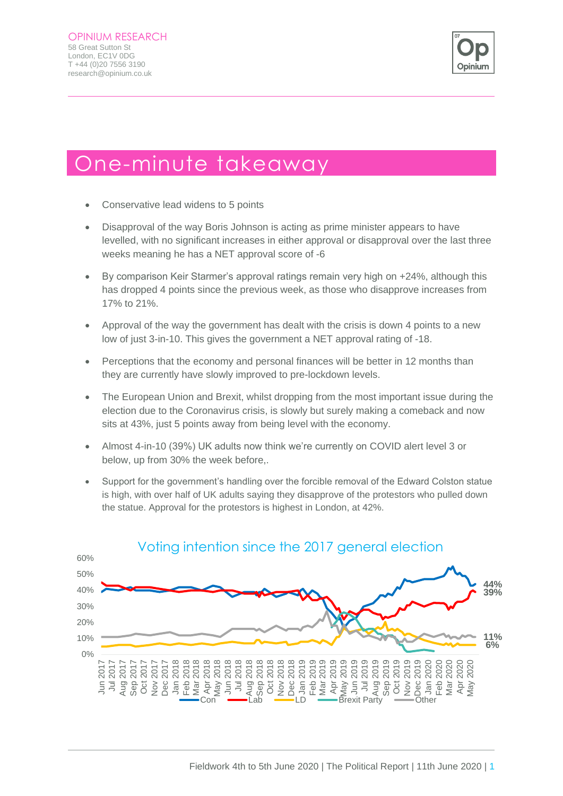

## One-minute takeaway

- Conservative lead widens to 5 points
- Disapproval of the way Boris Johnson is acting as prime minister appears to have levelled, with no significant increases in either approval or disapproval over the last three weeks meaning he has a NET approval score of -6
- By comparison Keir Starmer's approval ratings remain very high on +24%, although this has dropped 4 points since the previous week, as those who disapprove increases from 17% to 21%.
- Approval of the way the government has dealt with the crisis is down 4 points to a new low of just 3-in-10. This gives the government a NET approval rating of -18.
- Perceptions that the economy and personal finances will be better in 12 months than they are currently have slowly improved to pre-lockdown levels.
- The European Union and Brexit, whilst dropping from the most important issue during the election due to the Coronavirus crisis, is slowly but surely making a comeback and now sits at 43%, just 5 points away from being level with the economy.
- Almost 4-in-10 (39%) UK adults now think we're currently on COVID alert level 3 or below, up from 30% the week before,.
- Support for the government's handling over the forcible removal of the Edward Colston statue is high, with over half of UK adults saying they disapprove of the protestors who pulled down the statue. Approval for the protestors is highest in London, at 42%.



#### Voting intention since the 2017 general election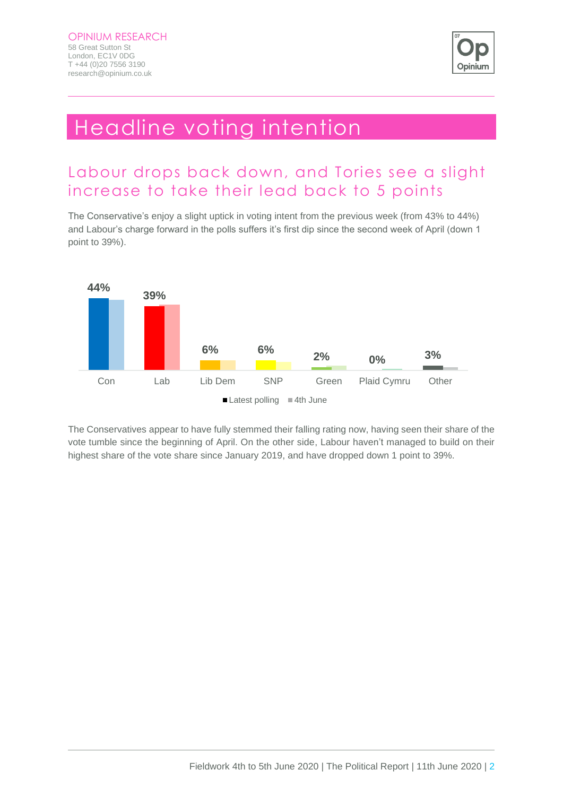

## Headline voting intention

### Labour drops back down, and Tories see a slight increase to take their lead back to 5 points

The Conservative's enjoy a slight uptick in voting intent from the previous week (from 43% to 44%) and Labour's charge forward in the polls suffers it's first dip since the second week of April (down 1 point to 39%).



The Conservatives appear to have fully stemmed their falling rating now, having seen their share of the vote tumble since the beginning of April. On the other side, Labour haven't managed to build on their highest share of the vote share since January 2019, and have dropped down 1 point to 39%.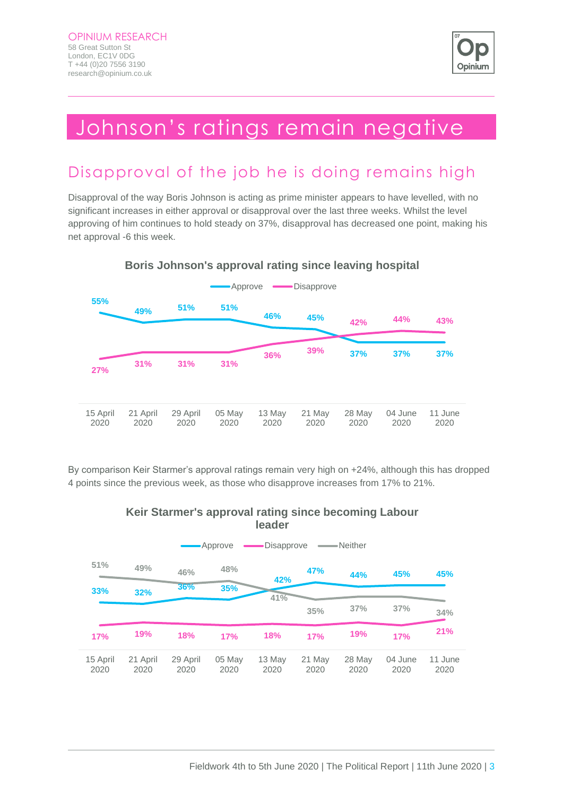

## Johnson's ratings remain negative

## Disapproval of the job he is doing remains high

Disapproval of the way Boris Johnson is acting as prime minister appears to have levelled, with no significant increases in either approval or disapproval over the last three weeks. Whilst the level approving of him continues to hold steady on 37%, disapproval has decreased one point, making his net approval -6 this week.



#### **Boris Johnson's approval rating since leaving hospital**

By comparison Keir Starmer's approval ratings remain very high on +24%, although this has dropped 4 points since the previous week, as those who disapprove increases from 17% to 21%.

#### **Keir Starmer's approval rating since becoming Labour leader**

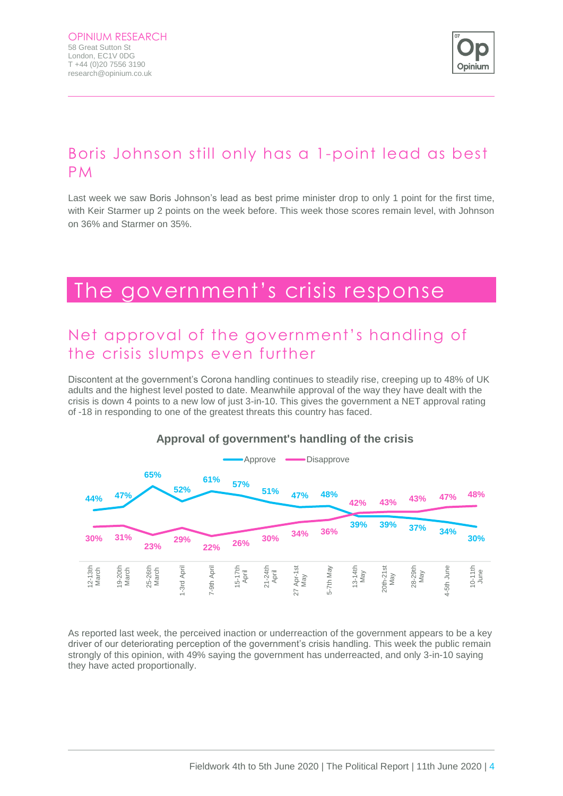

## Boris Johnson still only has a 1-point lead as best PM

Last week we saw Boris Johnson's lead as best prime minister drop to only 1 point for the first time, with Keir Starmer up 2 points on the week before. This week those scores remain level, with Johnson on 36% and Starmer on 35%.

## The government's crisis response

### Net approval of the government's handling of the crisis slumps even further

Discontent at the government's Corona handling continues to steadily rise, creeping up to 48% of UK adults and the highest level posted to date. Meanwhile approval of the way they have dealt with the crisis is down 4 points to a new low of just 3-in-10. This gives the government a NET approval rating of -18 in responding to one of the greatest threats this country has faced.



#### **Approval of government's handling of the crisis**

As reported last week, the perceived inaction or underreaction of the government appears to be a key driver of our deteriorating perception of the government's crisis handling. This week the public remain strongly of this opinion, with 49% saying the government has underreacted, and only 3-in-10 saying they have acted proportionally.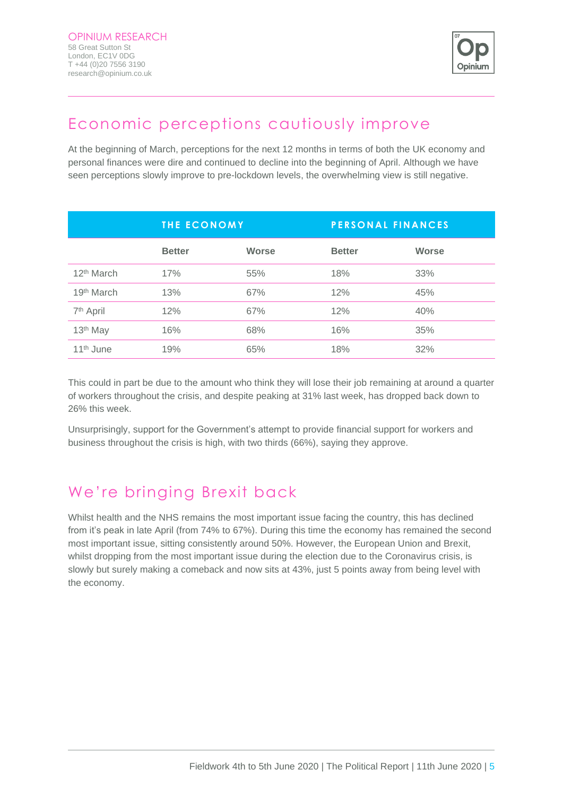

## Economic perceptions cautiously improve

At the beginning of March, perceptions for the next 12 months in terms of both the UK economy and personal finances were dire and continued to decline into the beginning of April. Although we have seen perceptions slowly improve to pre-lockdown levels, the overwhelming view is still negative.

|                        | <b>THE ECONOMY</b> |              | <b>PERSONAL FINANCES</b> |              |
|------------------------|--------------------|--------------|--------------------------|--------------|
|                        | <b>Better</b>      | <b>Worse</b> | <b>Better</b>            | <b>Worse</b> |
| 12 <sup>th</sup> March | 17%                | 55%          | 18%                      | 33%          |
| 19 <sup>th</sup> March | 13%                | 67%          | 12%                      | 45%          |
| 7 <sup>th</sup> April  | 12%                | 67%          | 12%                      | 40%          |
| 13 <sup>th</sup> May   | 16%                | 68%          | 16%                      | 35%          |
| 11 <sup>th</sup> June  | 19%                | 65%          | 18%                      | 32%          |

This could in part be due to the amount who think they will lose their job remaining at around a quarter of workers throughout the crisis, and despite peaking at 31% last week, has dropped back down to 26% this week.

Unsurprisingly, support for the Government's attempt to provide financial support for workers and business throughout the crisis is high, with two thirds (66%), saying they approve.

## We're bringing Brexit back

Whilst health and the NHS remains the most important issue facing the country, this has declined from it's peak in late April (from 74% to 67%). During this time the economy has remained the second most important issue, sitting consistently around 50%. However, the European Union and Brexit, whilst dropping from the most important issue during the election due to the Coronavirus crisis, is slowly but surely making a comeback and now sits at 43%, just 5 points away from being level with the economy.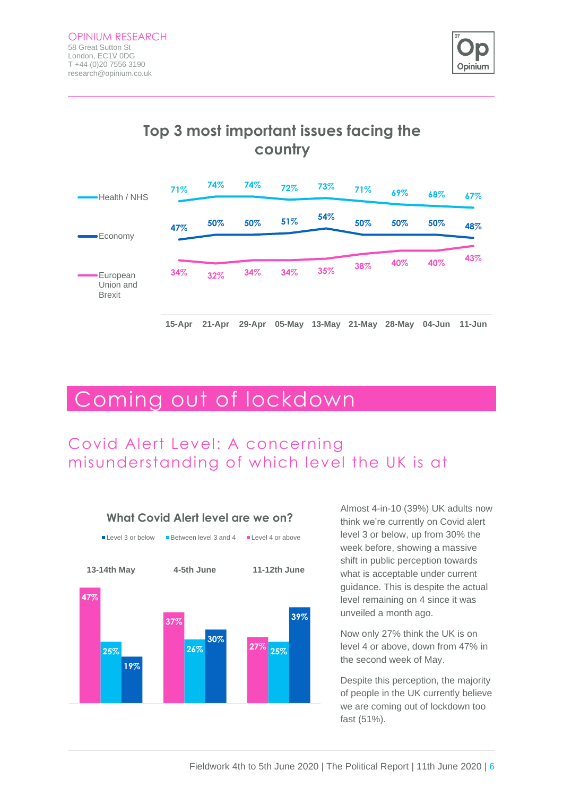

### **Top 3 most important issues facing the country**



## Coming out of lockdown

## Covid Alert Level: A concerning misunderstanding of which level the UK is at

![](_page_6_Figure_6.jpeg)

Almost 4-in-10 (39%) UK adults now think we're currently on Covid alert level 3 or below, up from 30% the week before, showing a massive shift in public perception towards what is acceptable under current guidance. This is despite the actual level remaining on 4 since it was unveiled a month ago.

Now only 27% think the UK is on level 4 or above, down from 47% in the second week of May.

Despite this perception, the majority of people in the UK currently believe we are coming out of lockdown too fast (51%).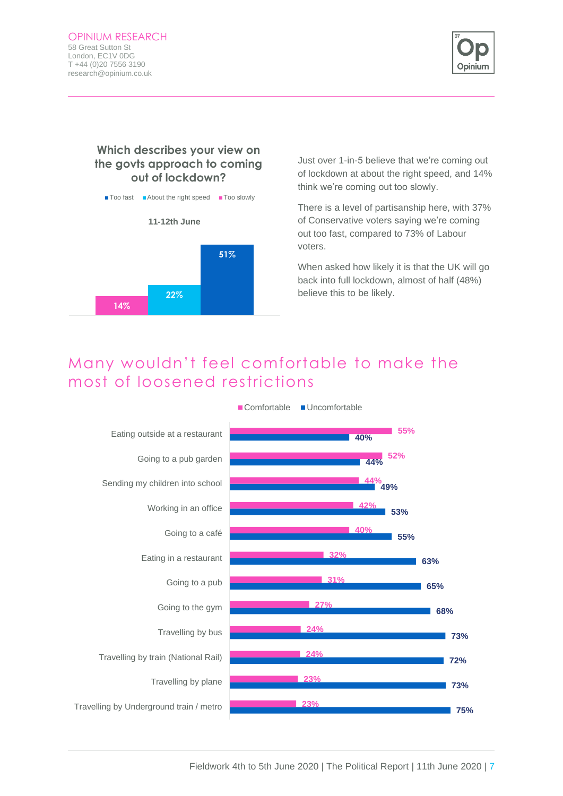![](_page_7_Picture_1.jpeg)

#### **Which describes your view on the govts approach to coming out of lockdown?**

![](_page_7_Figure_3.jpeg)

Just over 1-in-5 believe that we're coming out of lockdown at about the right speed, and 14% think we're coming out too slowly.

There is a level of partisanship here, with 37% of Conservative voters saying we're coming out too fast, compared to 73% of Labour voters.

When asked how likely it is that the UK will go back into full lockdown, almost of half (48%) believe this to be likely.

### Many wouldn't feel comfortable to make the most of loosened restrictions

![](_page_7_Figure_8.jpeg)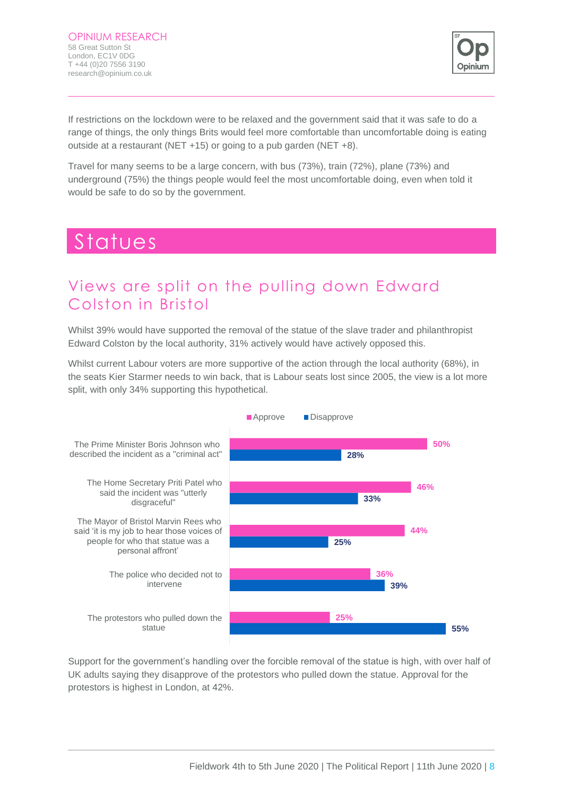![](_page_8_Picture_1.jpeg)

If restrictions on the lockdown were to be relaxed and the government said that it was safe to do a range of things, the only things Brits would feel more comfortable than uncomfortable doing is eating outside at a restaurant (NET +15) or going to a pub garden (NET +8).

Travel for many seems to be a large concern, with bus (73%), train (72%), plane (73%) and underground (75%) the things people would feel the most uncomfortable doing, even when told it would be safe to do so by the government.

## Statues

### Views are split on the pulling down Edward Colston in Bristol

Whilst 39% would have supported the removal of the statue of the slave trader and philanthropist Edward Colston by the local authority, 31% actively would have actively opposed this.

Whilst current Labour voters are more supportive of the action through the local authority (68%), in the seats Kier Starmer needs to win back, that is Labour seats lost since 2005, the view is a lot more split, with only 34% supporting this hypothetical.

![](_page_8_Figure_8.jpeg)

Support for the government's handling over the forcible removal of the statue is high, with over half of UK adults saying they disapprove of the protestors who pulled down the statue. Approval for the protestors is highest in London, at 42%.